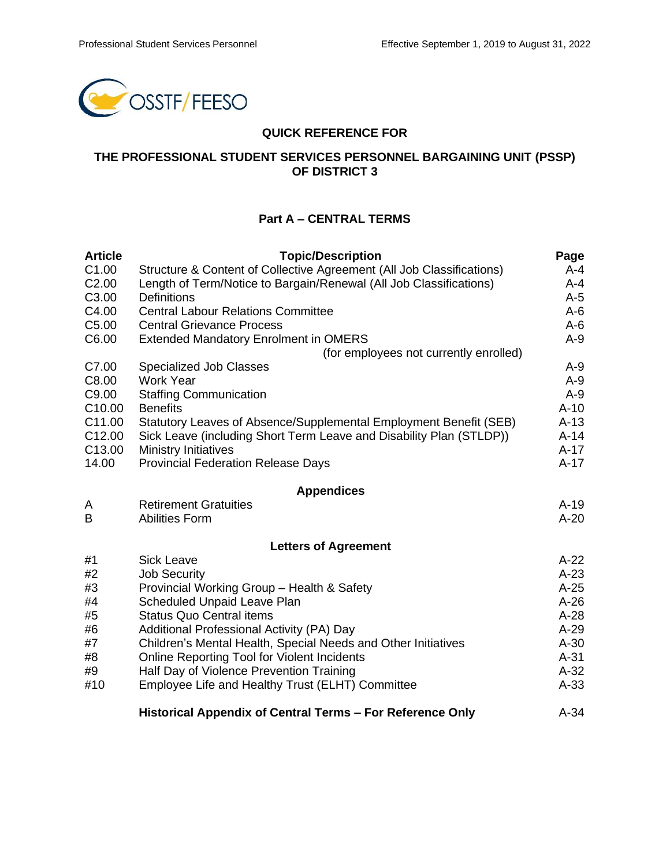

### **QUICK REFERENCE FOR**

### **THE PROFESSIONAL STUDENT SERVICES PERSONNEL BARGAINING UNIT (PSSP) OF DISTRICT 3**

# **Part A – CENTRAL TERMS**

| <b>Article</b>     | <b>Topic/Description</b>                                              | Page   |
|--------------------|-----------------------------------------------------------------------|--------|
| C <sub>1.00</sub>  | Structure & Content of Collective Agreement (All Job Classifications) | A-4    |
| C <sub>2.00</sub>  | Length of Term/Notice to Bargain/Renewal (All Job Classifications)    | A-4    |
| C <sub>3.00</sub>  | <b>Definitions</b>                                                    | $A-5$  |
| C4.00              | <b>Central Labour Relations Committee</b>                             | $A-6$  |
| C <sub>5.00</sub>  | <b>Central Grievance Process</b>                                      | $A-6$  |
| C6.00              | <b>Extended Mandatory Enrolment in OMERS</b>                          | $A-9$  |
|                    | (for employees not currently enrolled)                                |        |
| C7.00              | <b>Specialized Job Classes</b>                                        | $A-9$  |
| C8.00              | <b>Work Year</b>                                                      | $A-9$  |
| C9.00              | <b>Staffing Communication</b>                                         | $A-9$  |
| C <sub>10.00</sub> | <b>Benefits</b>                                                       | $A-10$ |
| C11.00             | Statutory Leaves of Absence/Supplemental Employment Benefit (SEB)     | $A-13$ |
| C <sub>12.00</sub> | Sick Leave (including Short Term Leave and Disability Plan (STLDP))   | $A-14$ |
| C <sub>13.00</sub> | <b>Ministry Initiatives</b>                                           | $A-17$ |
| 14.00              | <b>Provincial Federation Release Days</b>                             | $A-17$ |
|                    | <b>Appendices</b>                                                     |        |
| A                  | <b>Retirement Gratuities</b>                                          | $A-19$ |
| B                  | <b>Abilities Form</b>                                                 | $A-20$ |
|                    | <b>Letters of Agreement</b>                                           |        |
| #1                 | <b>Sick Leave</b>                                                     | $A-22$ |
| #2                 | <b>Job Security</b>                                                   | $A-23$ |
| #3                 | Provincial Working Group - Health & Safety                            | $A-25$ |
| #4                 | <b>Scheduled Unpaid Leave Plan</b>                                    | $A-26$ |
| #5                 | <b>Status Quo Central items</b>                                       | $A-28$ |
| #6                 | Additional Professional Activity (PA) Day                             | $A-29$ |
| #7                 | Children's Mental Health, Special Needs and Other Initiatives         | $A-30$ |
| #8                 | Online Reporting Tool for Violent Incidents                           | $A-31$ |
| #9                 | Half Day of Violence Prevention Training                              | $A-32$ |
| #10                | Employee Life and Healthy Trust (ELHT) Committee                      | $A-33$ |
|                    | Historical Appendix of Central Terms - For Reference Only             | $A-34$ |